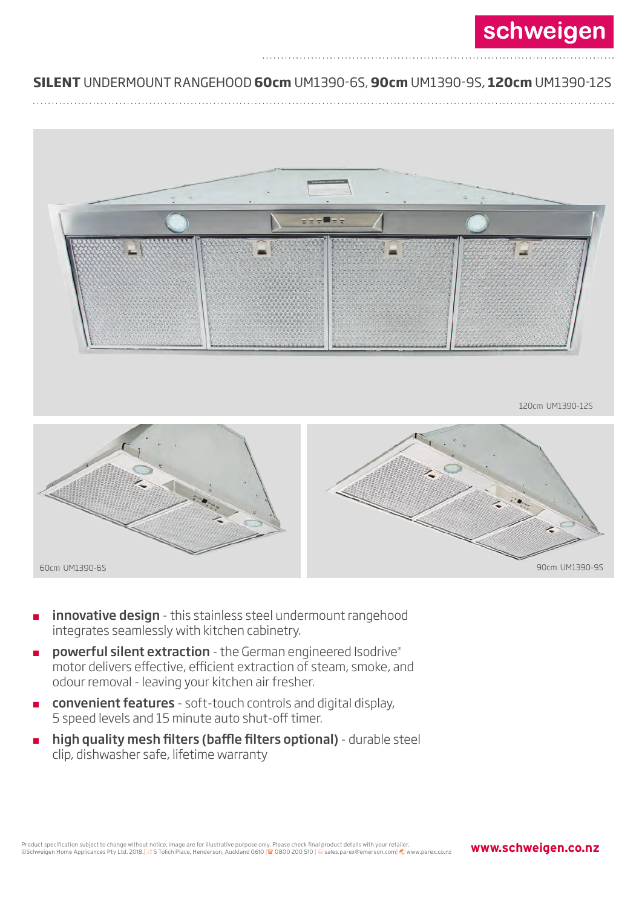## ............................................................................................................................... ............................ **SILENT** UNDERMOUNT RANGEHOOD **60cm** UM1390-6S, **90cm** UM1390-9S, **120cm** UM1390-12S

............................................................................................................................... ............................



60cm UM1390-6S 90cm UM1390-9S

- innovative design this stainless steel undermount rangehood integrates seamlessly with kitchen cabinetry.
- powerful silent extraction the German engineered Isodrive® motor delivers effective, efficient extraction of steam, smoke, and odour removal - leaving your kitchen air fresher.
- convenient features soft-touch controls and digital display, 5 speed levels and 15 minute auto shut-off timer.
- high quality mesh filters (baffle filters optional) durable steel clip, dishwasher safe, lifetime warranty

**www.schweigen.co.nz**